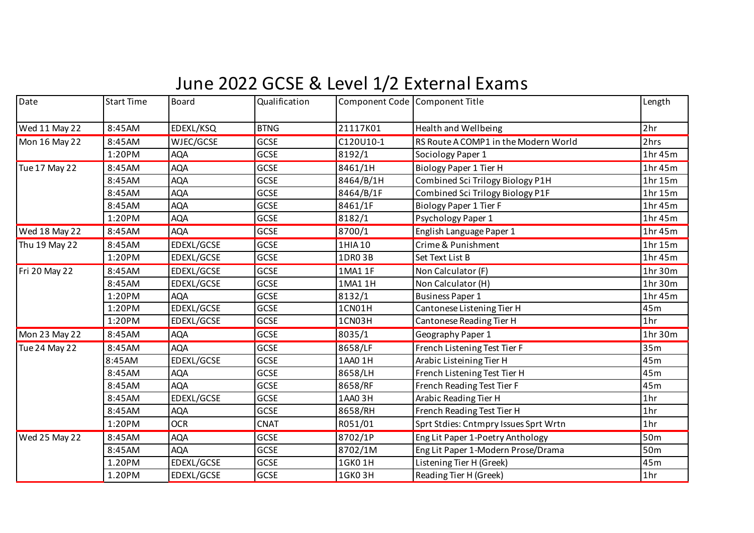## June 2022 GCSE & Level 1/2 External Exams

| Date          | <b>Start Time</b> | <b>Board</b> | Qualification |           | Component Code Component Title        | Length          |
|---------------|-------------------|--------------|---------------|-----------|---------------------------------------|-----------------|
| Wed 11 May 22 | 8:45AM            | EDEXL/KSQ    | <b>BTNG</b>   | 21117K01  | Health and Wellbeing                  | 2 <sub>hr</sub> |
| Mon 16 May 22 | 8:45AM            | WJEC/GCSE    | <b>GCSE</b>   | C120U10-1 | RS Route A COMP1 in the Modern World  | 2hrs            |
|               | 1:20PM            | <b>AQA</b>   | <b>GCSE</b>   | 8192/1    | Sociology Paper 1                     | 1hr45m          |
| Tue 17 May 22 | 8:45AM            | <b>AQA</b>   | <b>GCSE</b>   | 8461/1H   | Biology Paper 1 Tier H                | 1hr 45m         |
|               | 8:45AM            | <b>AQA</b>   | <b>GCSE</b>   | 8464/B/1H | Combined Sci Trilogy Biology P1H      | 1hr 15m         |
|               | 8:45AM            | <b>AQA</b>   | <b>GCSE</b>   | 8464/B/1F | Combined Sci Trilogy Biology P1F      | 1hr 15m         |
|               | 8:45AM            | <b>AQA</b>   | <b>GCSE</b>   | 8461/1F   | Biology Paper 1 Tier F                | 1hr 45m         |
|               | 1:20PM            | <b>AQA</b>   | <b>GCSE</b>   | 8182/1    | Psychology Paper 1                    | 1hr 45m         |
| Wed 18 May 22 | 8:45AM            | <b>AQA</b>   | <b>GCSE</b>   | 8700/1    | English Language Paper 1              | 1hr 45m         |
| Thu 19 May 22 | 8:45AM            | EDEXL/GCSE   | GCSE          | 1HIA 10   | Crime & Punishment                    | 1hr 15m         |
|               | 1:20PM            | EDEXL/GCSE   | <b>GCSE</b>   | 1DR03B    | Set Text List B                       | 1hr 45m         |
| Fri 20 May 22 | 8:45AM            | EDEXL/GCSE   | <b>GCSE</b>   | 1MA11F    | Non Calculator (F)                    | 1hr 30m         |
|               | 8:45AM            | EDEXL/GCSE   | GCSE          | 1MA1 1H   | Non Calculator (H)                    | 1hr 30m         |
|               | 1:20PM            | <b>AQA</b>   | <b>GCSE</b>   | 8132/1    | <b>Business Paper 1</b>               | 1hr45m          |
|               | 1:20PM            | EDEXL/GCSE   | GCSE          | 1CN01H    | Cantonese Listening Tier H            | 45m             |
|               | 1:20PM            | EDEXL/GCSE   | <b>GCSE</b>   | 1CN03H    | Cantonese Reading Tier H              | 1 <sub>hr</sub> |
| Mon 23 May 22 | 8:45AM            | <b>AQA</b>   | <b>GCSE</b>   | 8035/1    | Geography Paper 1                     | 1hr 30m         |
| Tue 24 May 22 | 8:45AM            | <b>AQA</b>   | <b>GCSE</b>   | 8658/LF   | French Listening Test Tier F          | 35m             |
|               | 8:45AM            | EDEXL/GCSE   | <b>GCSE</b>   | 1AA0 1H   | Arabic Listeining Tier H              | 45m             |
|               | 8:45AM            | <b>AQA</b>   | GCSE          | 8658/LH   | French Listening Test Tier H          | 45m             |
|               | 8:45AM            | <b>AQA</b>   | <b>GCSE</b>   | 8658/RF   | French Reading Test Tier F            | 45m             |
|               | 8:45AM            | EDEXL/GCSE   | <b>GCSE</b>   | 1AA0 3H   | Arabic Reading Tier H                 | 1 <sub>hr</sub> |
|               | 8:45AM            | <b>AQA</b>   | GCSE          | 8658/RH   | French Reading Test Tier H            | 1 <sub>hr</sub> |
|               | 1:20PM            | <b>OCR</b>   | <b>CNAT</b>   | R051/01   | Sprt Stdies: Cntmpry Issues Sprt Wrtn | 1 <sub>hr</sub> |
| Wed 25 May 22 | 8:45AM            | <b>AQA</b>   | <b>GCSE</b>   | 8702/1P   | Eng Lit Paper 1-Poetry Anthology      | 50 <sub>m</sub> |
|               | 8:45AM            | <b>AQA</b>   | <b>GCSE</b>   | 8702/1M   | Eng Lit Paper 1-Modern Prose/Drama    | 50 <sub>m</sub> |
|               | 1.20PM            | EDEXL/GCSE   | <b>GCSE</b>   | 1GK0 1H   | Listening Tier H (Greek)              | 45m             |
|               | 1.20PM            | EDEXL/GCSE   | <b>GCSE</b>   | 1GK03H    | Reading Tier H (Greek)                | 1 <sub>hr</sub> |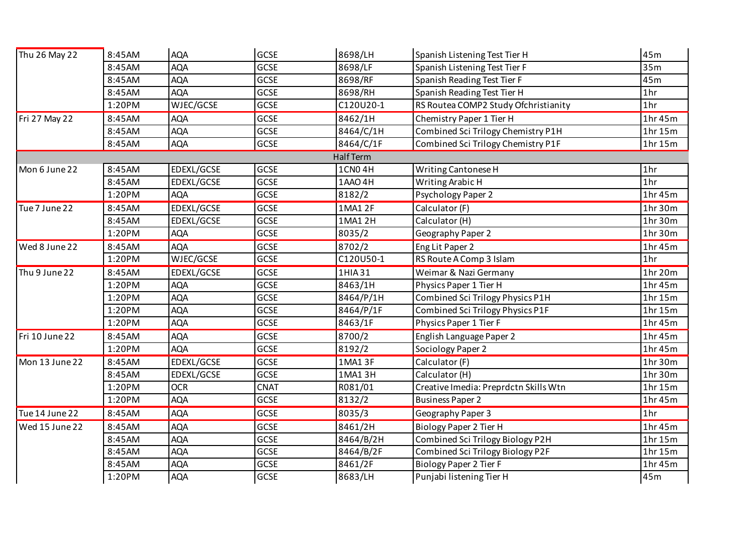| Thu 26 May 22  | 8:45AM | <b>AQA</b> | <b>GCSE</b> | 8698/LH          | Spanish Listening Test Tier H         | 45m             |
|----------------|--------|------------|-------------|------------------|---------------------------------------|-----------------|
|                | 8:45AM | <b>AQA</b> | <b>GCSE</b> | 8698/LF          | Spanish Listening Test Tier F         | 35m             |
|                | 8:45AM | <b>AQA</b> | <b>GCSE</b> | 8698/RF          | Spanish Reading Test Tier F           | 45m             |
|                | 8:45AM | <b>AQA</b> | <b>GCSE</b> | 8698/RH          | Spanish Reading Test Tier H           | 1 <sub>hr</sub> |
|                | 1:20PM | WJEC/GCSE  | <b>GCSE</b> | C120U20-1        | RS Routea COMP2 Study Ofchristianity  | 1 <sub>hr</sub> |
| Fri 27 May 22  | 8:45AM | <b>AQA</b> | <b>GCSE</b> | 8462/1H          | Chemistry Paper 1 Tier H              | 1hr 45m         |
|                | 8:45AM | <b>AQA</b> | <b>GCSE</b> | 8464/C/1H        | Combined Sci Trilogy Chemistry P1H    | 1hr 15m         |
|                | 8:45AM | <b>AQA</b> | <b>GCSE</b> | 8464/C/1F        | Combined Sci Trilogy Chemistry P1F    | 1hr15m          |
|                |        |            |             | <b>Half Term</b> |                                       |                 |
| Mon 6 June 22  | 8:45AM | EDEXL/GCSE | <b>GCSE</b> | 1CN04H           | Writing Cantonese H                   | 1 <sub>hr</sub> |
|                | 8:45AM | EDEXL/GCSE | GCSE        | 1AAO 4H          | Writing Arabic H                      | 1 <sub>hr</sub> |
|                | 1:20PM | <b>AQA</b> | <b>GCSE</b> | 8182/2           | <b>Psychology Paper 2</b>             | 1hr 45m         |
| Tue 7 June 22  | 8:45AM | EDEXL/GCSE | <b>GCSE</b> | 1MA1 2F          | Calculator (F)                        | 1hr 30m         |
|                | 8:45AM | EDEXL/GCSE | <b>GCSE</b> | 1MA1 2H          | Calculator (H)                        | 1hr 30m         |
|                | 1:20PM | <b>AQA</b> | <b>GCSE</b> | 8035/2           | Geography Paper 2                     | 1hr 30m         |
| Wed 8 June 22  | 8:45AM | <b>AQA</b> | <b>GCSE</b> | 8702/2           | Eng Lit Paper 2                       | 1hr 45m         |
|                | 1:20PM | WJEC/GCSE  | GCSE        | C120U50-1        | RS Route A Comp 3 Islam               | 1 <sub>hr</sub> |
| Thu 9 June 22  | 8:45AM | EDEXL/GCSE | <b>GCSE</b> | 1HIA 31          | Weimar & Nazi Germany                 | 1hr 20m         |
|                | 1:20PM | <b>AQA</b> | <b>GCSE</b> | 8463/1H          | Physics Paper 1 Tier H                | 1hr 45m         |
|                | 1:20PM | <b>AQA</b> | <b>GCSE</b> | 8464/P/1H        | Combined Sci Trilogy Physics P1H      | 1hr 15m         |
|                | 1:20PM | <b>AQA</b> | <b>GCSE</b> | 8464/P/1F        | Combined Sci Trilogy Physics P1F      | 1hr 15m         |
|                | 1:20PM | <b>AQA</b> | <b>GCSE</b> | 8463/1F          | Physics Paper 1 Tier F                | 1hr45m          |
| Fri 10 June 22 | 8:45AM | <b>AQA</b> | <b>GCSE</b> | 8700/2           | English Language Paper 2              | 1hr 45m         |
|                | 1:20PM | <b>AQA</b> | <b>GCSE</b> | 8192/2           | Sociology Paper 2                     | 1hr 45m         |
| Mon 13 June 22 | 8:45AM | EDEXL/GCSE | <b>GCSE</b> | 1MA13F           | Calculator (F)                        | 1hr 30m         |
|                | 8:45AM | EDEXL/GCSE | <b>GCSE</b> | 1MA1 3H          | Calculator (H)                        | 1hr 30m         |
|                | 1:20PM | <b>OCR</b> | <b>CNAT</b> | R081/01          | Creative Imedia: Preprdctn Skills Wtn | 1hr 15m         |
|                | 1:20PM | <b>AQA</b> | <b>GCSE</b> | 8132/2           | <b>Business Paper 2</b>               | 1hr 45m         |
| Tue 14 June 22 | 8:45AM | <b>AQA</b> | GCSE        | 8035/3           | Geography Paper 3                     | 1 <sub>hr</sub> |
| Wed 15 June 22 | 8:45AM | <b>AQA</b> | GCSE        | 8461/2H          | <b>Biology Paper 2 Tier H</b>         | 1hr 45m         |
|                | 8:45AM | <b>AQA</b> | <b>GCSE</b> | 8464/B/2H        | Combined Sci Trilogy Biology P2H      | 1hr 15m         |
|                | 8:45AM | <b>AQA</b> | <b>GCSE</b> | 8464/B/2F        | Combined Sci Trilogy Biology P2F      | 1hr 15m         |
|                | 8:45AM | <b>AQA</b> | GCSE        | 8461/2F          | <b>Biology Paper 2 Tier F</b>         | 1hr 45m         |
|                | 1:20PM | <b>AQA</b> | <b>GCSE</b> | 8683/LH          | Punjabi listening Tier H              | 45m             |